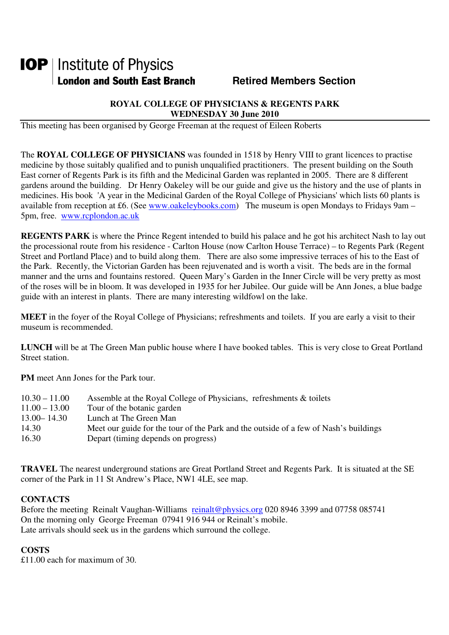# **IOP** | Institute of Physics **London and South East Branch Fig. 2.1 Retired Members Section**

### **ROYAL COLLEGE OF PHYSICIANS & REGENTS PARK WEDNESDAY 30 June 2010**

This meeting has been organised by George Freeman at the request of Eileen Roberts

The **ROYAL COLLEGE OF PHYSICIANS** was founded in 1518 by Henry VIII to grant licences to practise medicine by those suitably qualified and to punish unqualified practitioners. The present building on the South East corner of Regents Park is its fifth and the Medicinal Garden was replanted in 2005. There are 8 different gardens around the building. Dr Henry Oakeley will be our guide and give us the history and the use of plants in medicines. His book 'A year in the Medicinal Garden of the Royal College of Physicians' which lists 60 plants is available from reception at £6. (See www.oakeleybooks.com) The museum is open Mondays to Fridays 9am – 5pm, free. www.rcplondon.ac.uk

**REGENTS PARK** is where the Prince Regent intended to build his palace and he got his architect Nash to lay out the processional route from his residence - Carlton House (now Carlton House Terrace) – to Regents Park (Regent Street and Portland Place) and to build along them. There are also some impressive terraces of his to the East of the Park. Recently, the Victorian Garden has been rejuvenated and is worth a visit. The beds are in the formal manner and the urns and fountains restored. Queen Mary's Garden in the Inner Circle will be very pretty as most of the roses will be in bloom. It was developed in 1935 for her Jubilee. Our guide will be Ann Jones, a blue badge guide with an interest in plants. There are many interesting wildfowl on the lake.

**MEET** in the foyer of the Royal College of Physicians; refreshments and toilets. If you are early a visit to their museum is recommended.

**LUNCH** will be at The Green Man public house where I have booked tables. This is very close to Great Portland Street station.

**PM** meet Ann Jones for the Park tour.

| $11.00 - 13.00$<br>Tour of the botanic garden<br>$13.00 - 14.30$<br>Lunch at The Green Man<br>14.30 | $10.30 - 11.00$ | Assemble at the Royal College of Physicians, refreshments & toilets                  |
|-----------------------------------------------------------------------------------------------------|-----------------|--------------------------------------------------------------------------------------|
|                                                                                                     |                 |                                                                                      |
|                                                                                                     |                 |                                                                                      |
|                                                                                                     |                 | Meet our guide for the tour of the Park and the outside of a few of Nash's buildings |
|                                                                                                     | 16.30           | Depart (timing depends on progress)                                                  |

**TRAVEL** The nearest underground stations are Great Portland Street and Regents Park. It is situated at the SE corner of the Park in 11 St Andrew's Place, NW1 4LE, see map.

#### **CONTACTS**

Before the meeting Reinalt Vaughan-Williams reinalt@physics.org 020 8946 3399 and 07758 085741 On the morning only George Freeman 07941 916 944 or Reinalt's mobile. Late arrivals should seek us in the gardens which surround the college.

## **COSTS**

£11.00 each for maximum of 30.